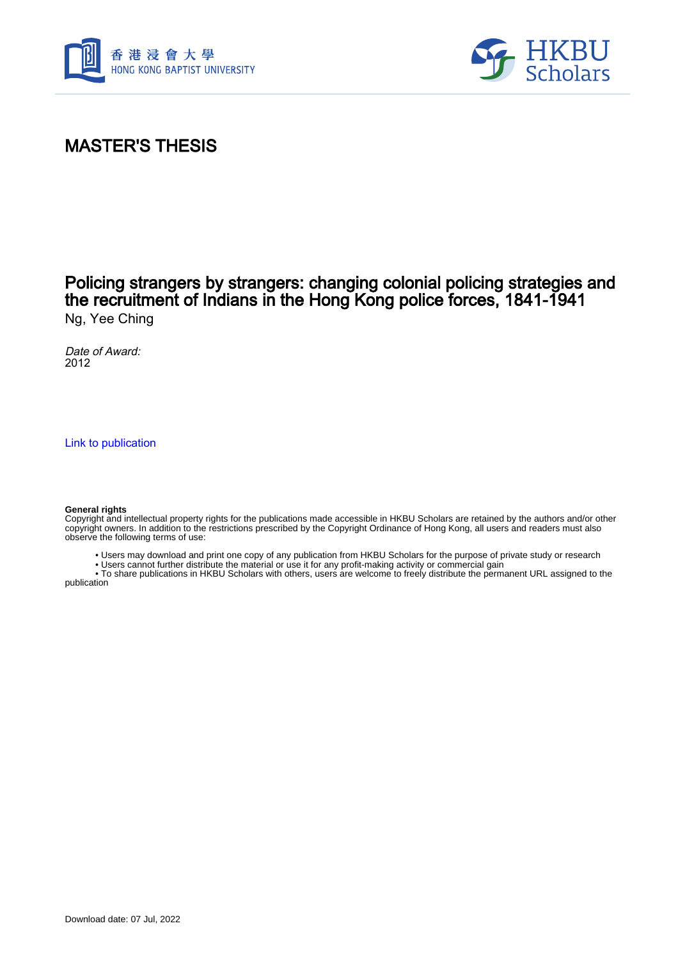



# MASTER'S THESIS

#### Policing strangers by strangers: changing colonial policing strategies and the recruitment of Indians in the Hong Kong police forces, 1841-1941 Ng, Yee Ching

Date of Award: 2012

[Link to publication](https://scholars.hkbu.edu.hk/en/studentTheses/5754dd51-727a-4c20-aa75-85129d701ea0)

#### **General rights**

Copyright and intellectual property rights for the publications made accessible in HKBU Scholars are retained by the authors and/or other copyright owners. In addition to the restrictions prescribed by the Copyright Ordinance of Hong Kong, all users and readers must also observe the following terms of use:

- Users may download and print one copy of any publication from HKBU Scholars for the purpose of private study or research
- Users cannot further distribute the material or use it for any profit-making activity or commercial gain

 • To share publications in HKBU Scholars with others, users are welcome to freely distribute the permanent URL assigned to the publication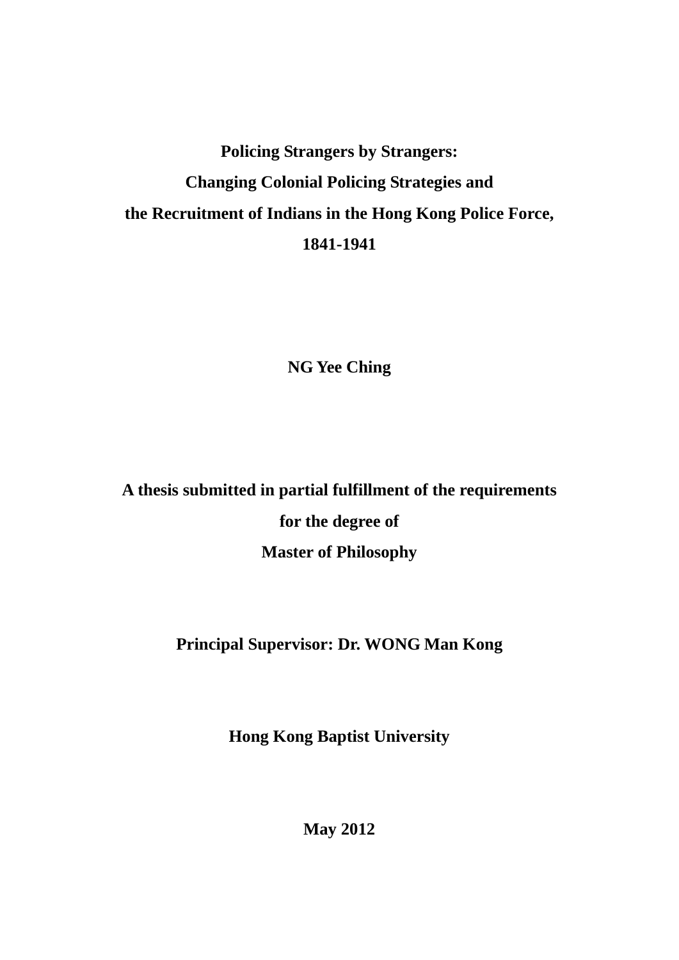# **Policing Strangers by Strangers: Changing Colonial Policing Strategies and the Recruitment of Indians in the Hong Kong Police Force, 1841-1941**

**NG Yee Ching** 

**A thesis submitted in partial fulfillment of the requirements for the degree of Master of Philosophy** 

## **Principal Supervisor: Dr. WONG Man Kong**

**Hong Kong Baptist University** 

**May 2012**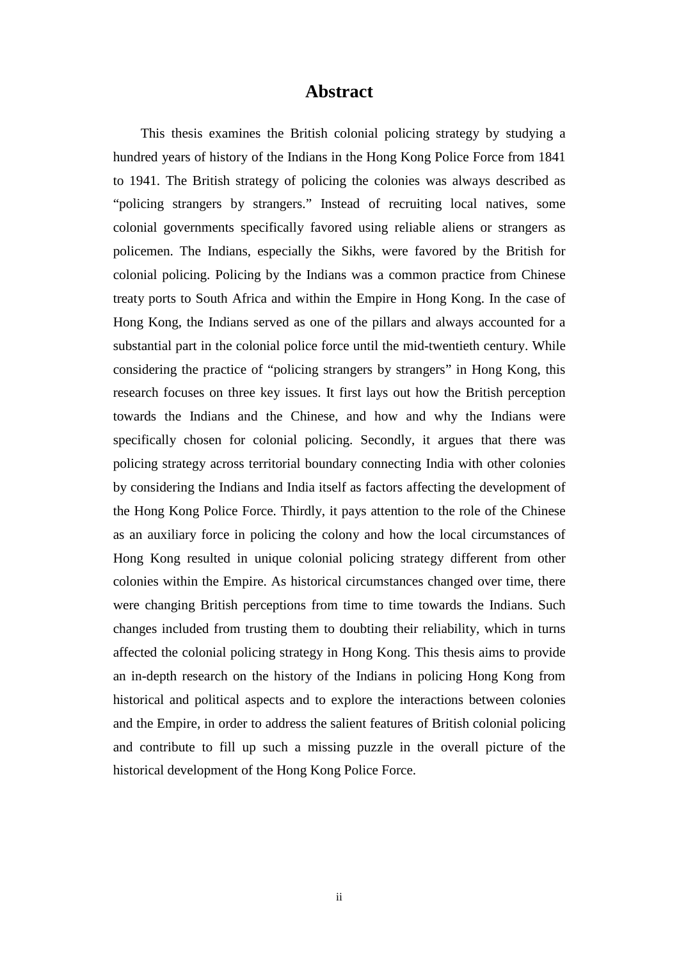#### **Abstract**

This thesis examines the British colonial policing strategy by studying a hundred years of history of the Indians in the Hong Kong Police Force from 1841 to 1941. The British strategy of policing the colonies was always described as "policing strangers by strangers." Instead of recruiting local natives, some colonial governments specifically favored using reliable aliens or strangers as policemen. The Indians, especially the Sikhs, were favored by the British for colonial policing. Policing by the Indians was a common practice from Chinese treaty ports to South Africa and within the Empire in Hong Kong. In the case of Hong Kong, the Indians served as one of the pillars and always accounted for a substantial part in the colonial police force until the mid-twentieth century. While considering the practice of "policing strangers by strangers" in Hong Kong, this research focuses on three key issues. It first lays out how the British perception towards the Indians and the Chinese, and how and why the Indians were specifically chosen for colonial policing. Secondly, it argues that there was policing strategy across territorial boundary connecting India with other colonies by considering the Indians and India itself as factors affecting the development of the Hong Kong Police Force. Thirdly, it pays attention to the role of the Chinese as an auxiliary force in policing the colony and how the local circumstances of Hong Kong resulted in unique colonial policing strategy different from other colonies within the Empire. As historical circumstances changed over time, there were changing British perceptions from time to time towards the Indians. Such changes included from trusting them to doubting their reliability, which in turns affected the colonial policing strategy in Hong Kong. This thesis aims to provide an in-depth research on the history of the Indians in policing Hong Kong from historical and political aspects and to explore the interactions between colonies and the Empire, in order to address the salient features of British colonial policing and contribute to fill up such a missing puzzle in the overall picture of the historical development of the Hong Kong Police Force.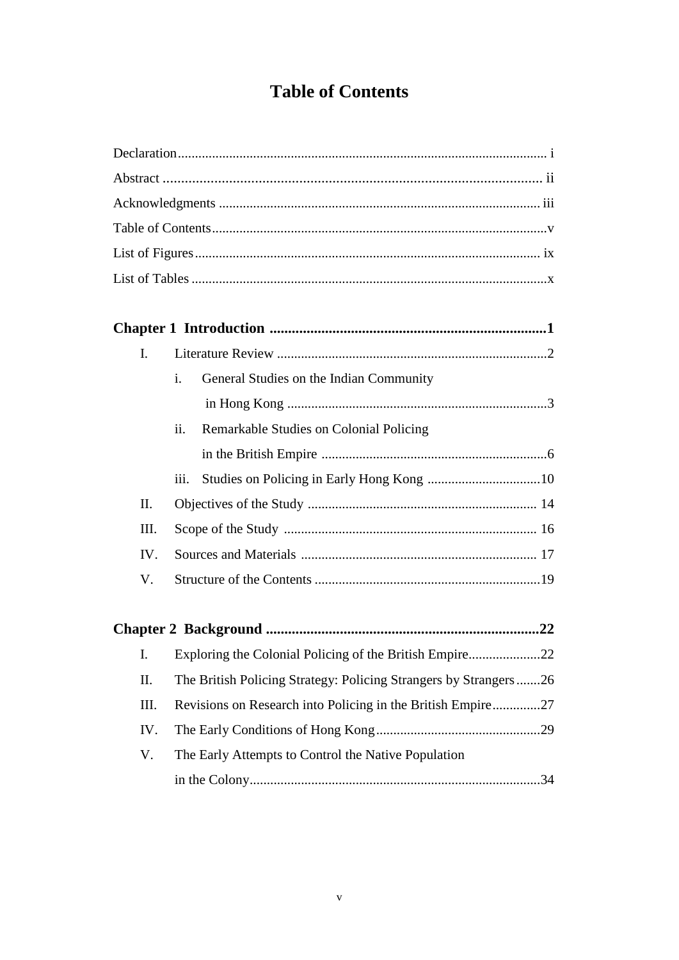# **Table of Contents**

|  | I.          |      |                                                                   |
|--|-------------|------|-------------------------------------------------------------------|
|  |             | i.   | General Studies on the Indian Community                           |
|  |             |      |                                                                   |
|  |             | ii.  | Remarkable Studies on Colonial Policing                           |
|  |             |      |                                                                   |
|  |             | iii. |                                                                   |
|  | $\Pi$ .     |      |                                                                   |
|  | III.<br>IV. |      |                                                                   |
|  |             |      |                                                                   |
|  | V.          |      |                                                                   |
|  |             |      |                                                                   |
|  |             |      |                                                                   |
|  | I.          |      | Exploring the Colonial Policing of the British Empire22           |
|  | II.         |      | The British Policing Strategy: Policing Strangers by Strangers 26 |
|  | III.        |      | Revisions on Research into Policing in the British Empire27       |
|  | IV.         |      |                                                                   |

V. The Early Attempts to Control the Native Population in the Colony.....................................................................................34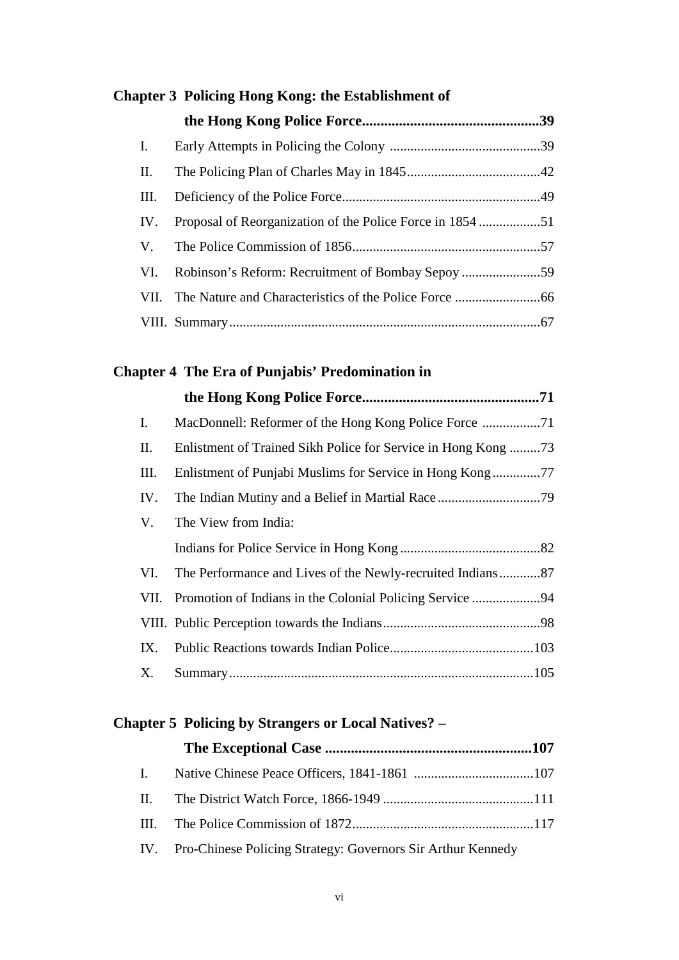| Chapter 3 Policing Hong Kong: the Establishment of |  |  |  |
|----------------------------------------------------|--|--|--|
|                                                    |  |  |  |
| $\mathbf{I}$ .                                     |  |  |  |
| П.                                                 |  |  |  |
| Ш.                                                 |  |  |  |
| IV.                                                |  |  |  |
| V.                                                 |  |  |  |
| VI.                                                |  |  |  |
|                                                    |  |  |  |
|                                                    |  |  |  |

### **Chapter 4 The Era of Punjabis' Predomination in**

| Ι.   |                                                              |  |
|------|--------------------------------------------------------------|--|
| П.   | Enlistment of Trained Sikh Police for Service in Hong Kong73 |  |
| Ш.   |                                                              |  |
| IV.  |                                                              |  |
| V.   | The View from India:                                         |  |
|      |                                                              |  |
| VI.  | The Performance and Lives of the Newly-recruited Indians87   |  |
| VII. | Promotion of Indians in the Colonial Policing Service 94     |  |
|      |                                                              |  |
| IX.  |                                                              |  |
| X.   |                                                              |  |

#### **Chapter 5 Policing by Strangers or Local Natives? –**

| IV. Pro-Chinese Policing Strategy: Governors Sir Arthur Kennedy |  |
|-----------------------------------------------------------------|--|